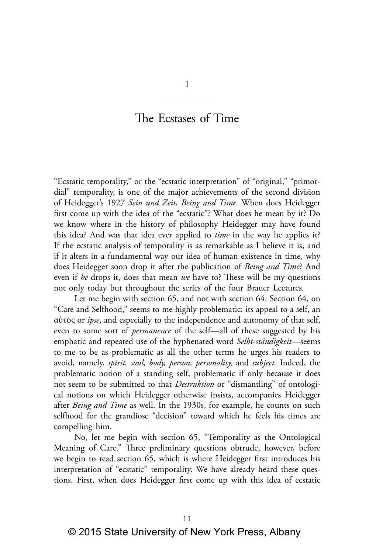1

## The Ecstases of Time

"Ecstatic temporality," or the "ecstatic interpretation" of "original," "primordial" temporality, is one of the major achievements of the second division of Heidegger's 1927 *Sein und Zeit*, *Being and Time.* When does Heidegger first come up with the idea of the "ecstatic"? What does he mean by it? Do we know where in the history of philosophy Heidegger may have found this idea? And was that idea ever applied to *time* in the way he applies it? If the ecstatic analysis of temporality is as remarkable as I believe it is, and if it alters in a fundamental way our idea of human existence in time, why does Heidegger soon drop it after the publication of *Being and Time*? And even if *he* drops it, does that mean *we* have to? These will be my questions not only today but throughout the series of the four Brauer Lectures.

Let me begin with section 65, and not with section 64. Section 64, on "Care and Selfhood," seems to me highly problematic: its appeal to a self, an αὐτός or *ipse*, and especially to the independence and autonomy of that self, even to some sort of *permanence* of the self—all of these suggested by his emphatic and repeated use of the hyphenated word *Selbt-ständigkeit—*seems to me to be as problematic as all the other terms he urges his readers to avoid, namely, *spirit, soul, body, person, personality,* and *subject.* Indeed, the problematic notion of a standing self, problematic if only because it does not seem to be submitted to that *Destruktion* or "dismantling" of ontological notions on which Heidegger otherwise insists, accompanies Heidegger after *Being and Time* as well. In the 1930s, for example, he counts on such selfhood for the grandiose "decision" toward which he feels his times are compelling him.

No, let me begin with section 65, "Temporality as the Ontological Meaning of Care." Three preliminary questions obtrude, however, before we begin to read section 65, which is where Heidegger first introduces his interpretation of "ecstatic" temporality. We have already heard these questions. First, when does Heidegger first come up with this idea of ecstatic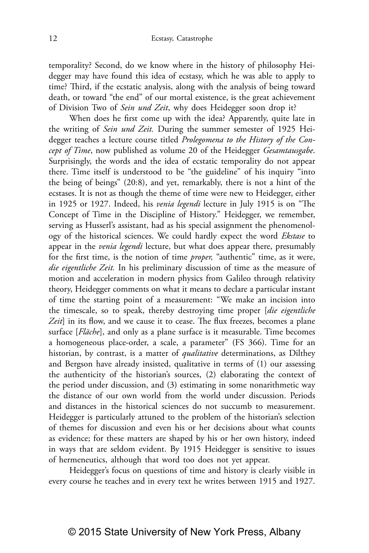temporality? Second, do we know where in the history of philosophy Heidegger may have found this idea of ecstasy, which he was able to apply to time? Third, if the ecstatic analysis, along with the analysis of being toward death, or toward "the end" of our mortal existence, is the great achievement of Division Two of *Sein und Zeit*, why does Heidegger soon drop it?

When does he first come up with the idea? Apparently, quite late in the writing of *Sein und Zeit.* During the summer semester of 1925 Heidegger teaches a lecture course titled *Prolegomena to the History of the Concept of Time*, now published as volume 20 of the Heidegger *Gesamtausgabe*. Surprisingly, the words and the idea of ecstatic temporality do not appear there. Time itself is understood to be "the guideline" of his inquiry "into the being of beings" (20:8), and yet, remarkably, there is not a hint of the ecstases. It is not as though the theme of time were new to Heidegger, either in 1925 or 1927. Indeed, his *venia legendi* lecture in July 1915 is on "The Concept of Time in the Discipline of History." Heidegger, we remember, serving as Husserl's assistant, had as his special assignment the phenomenology of the historical sciences. We could hardly expect the word *Ekstase* to appear in the *venia legendi* lecture, but what does appear there, presumably for the first time, is the notion of time *proper,* "authentic" time, as it were, *die eigentliche Zeit.* In his preliminary discussion of time as the measure of motion and acceleration in modern physics from Galileo through relativity theory, Heidegger comments on what it means to declare a particular instant of time the starting point of a measurement: "We make an incision into the timescale, so to speak, thereby destroying time proper [*die eigentliche*  Zeit] in its flow, and we cause it to cease. The flux freezes, becomes a plane surface [*Fläche*], and only as a plane surface is it measurable. Time becomes a homogeneous place-order, a scale, a parameter" (FS 366). Time for an historian, by contrast, is a matter of *qualitative* determinations, as Dilthey and Bergson have already insisted, qualitative in terms of (1) our assessing the authenticity of the historian's sources, (2) elaborating the context of the period under discussion, and (3) estimating in some nonarithmetic way the distance of our own world from the world under discussion. Periods and distances in the historical sciences do not succumb to measurement. Heidegger is particularly attuned to the problem of the historian's selection of themes for discussion and even his or her decisions about what counts as evidence; for these matters are shaped by his or her own history, indeed in ways that are seldom evident. By 1915 Heidegger is sensitive to issues of hermeneutics, although that word too does not yet appear.

Heidegger's focus on questions of time and history is clearly visible in every course he teaches and in every text he writes between 1915 and 1927.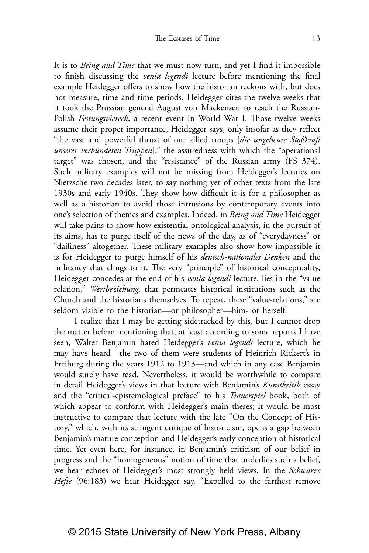It is to *Being and Time* that we must now turn, and yet I find it impossible to finish discussing the *venia legendi* lecture before mentioning the final example Heidegger offers to show how the historian reckons with, but does not measure, time and time periods. Heidegger cites the twelve weeks that it took the Prussian general August von Mackensen to reach the Russian-Polish *Festungsviereck*, a recent event in World War I. Those twelve weeks assume their proper importance, Heidegger says, only insofar as they reflect "the vast and powerful thrust of our allied troops [*die ungeheure Stoßkraft unserer verbündeten Truppen*]," the assuredness with which the "operational target" was chosen, and the "resistance" of the Russian army (FS 374). Such military examples will not be missing from Heidegger's lectures on Nietzsche two decades later, to say nothing yet of other texts from the late 1930s and early 1940s. They show how difficult it is for a philosopher as well as a historian to avoid those intrusions by contemporary events into one's selection of themes and examples. Indeed, in *Being and Time* Heidegger will take pains to show how existential-ontological analysis, in the pursuit of its aims, has to purge itself of the news of the day, as of "everydayness" or "dailiness" altogether. These military examples also show how impossible it is for Heidegger to purge himself of his *deutsch-nationales Denken* and the militancy that clings to it. The very "principle" of historical conceptuality, Heidegger concedes at the end of his *venia legendi* lecture, lies in the "value relation," *Wertbeziehung*, that permeates historical institutions such as the Church and the historians themselves. To repeat, these "value-relations," are seldom visible to the historian—or philosopher—him- or herself.

I realize that I may be getting sidetracked by this, but I cannot drop the matter before mentioning that, at least according to some reports I have seen, Walter Benjamin hated Heidegger's *venia legendi* lecture, which he may have heard—the two of them were students of Heinrich Rickert's in Freiburg during the years 1912 to 1913—and which in any case Benjamin would surely have read. Nevertheless, it would be worthwhile to compare in detail Heidegger's views in that lecture with Benjamin's *Kunstkritik* essay and the "critical-epistemological preface" to his *Trauerspiel* book, both of which appear to conform with Heidegger's main theses; it would be most instructive to compare that lecture with the late "On the Concept of History," which, with its stringent critique of historicism, opens a gap between Benjamin's mature conception and Heidegger's early conception of historical time. Yet even here, for instance, in Benjamin's criticism of our belief in progress and the "homogeneous" notion of time that underlies such a belief, we hear echoes of Heidegger's most strongly held views. In the *Schwarze Hefte* (96:183) we hear Heidegger say, "Expelled to the farthest remove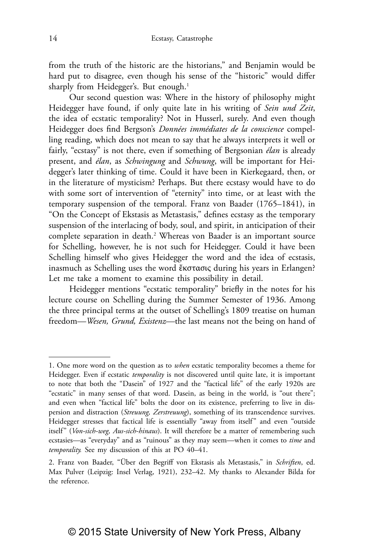from the truth of the historic are the historians," and Benjamin would be hard put to disagree, even though his sense of the "historic" would differ sharply from Heidegger's. But enough.<sup>1</sup>

Our second question was: Where in the history of philosophy might Heidegger have found, if only quite late in his writing of *Sein und Zeit*, the idea of ecstatic temporality? Not in Husserl, surely. And even though Heidegger does find Bergson's *Données immédiates de la conscience* compelling reading, which does not mean to say that he always interprets it well or fairly, "ecstasy" is not there, even if something of Bergsonian *élan* is already present, and *élan*, as *Schwingung* and *Schwung*, will be important for Heidegger's later thinking of time. Could it have been in Kierkegaard, then, or in the literature of mysticism? Perhaps. But there ecstasy would have to do with some sort of intervention of "eternity" into time, or at least with the temporary suspension of the temporal. Franz von Baader (1765–1841), in "On the Concept of Ekstasis as Metastasis," defines ecstasy as the temporary suspension of the interlacing of body, soul, and spirit, in anticipation of their complete separation in death.2 Whereas von Baader is an important source for Schelling, however, he is not such for Heidegger. Could it have been Schelling himself who gives Heidegger the word and the idea of ecstasis, inasmuch as Schelling uses the word ἔκστασις during his years in Erlangen? Let me take a moment to examine this possibility in detail.

Heidegger mentions "ecstatic temporality" briefly in the notes for his lecture course on Schelling during the Summer Semester of 1936. Among the three principal terms at the outset of Schelling's 1809 treatise on human freedom—*Wesen, Grund, Existenz—*the last means not the being on hand of

<sup>1.</sup> One more word on the question as to *when* ecstatic temporality becomes a theme for Heidegger. Even if ecstatic *temporality* is not discovered until quite late, it is important to note that both the "Dasein" of 1927 and the "factical life" of the early 1920s are "ecstatic" in many senses of that word. Dasein, as being in the world, is "out there"; and even when "factical life" bolts the door on its existence, preferring to live in dispersion and distraction (*Streuung, Zerstreuung*), something of its transcendence survives. Heidegger stresses that factical life is essentially "away from itself" and even "outside itself" (*Von-sich-weg, Aus-sich-hinaus*). It will therefore be a matter of remembering such ecstasies—as "everyday" and as "ruinous" as they may seem—when it comes to *time* and *temporality.* See my discussion of this at PO 40–41.

<sup>2.</sup> Franz von Baader, "Über den Begriff von Ekstasis als Metastasis," in *Schriften*, ed. Max Pulver (Leipzig: Insel Verlag, 1921), 232–42. My thanks to Alexander Bilda for the reference.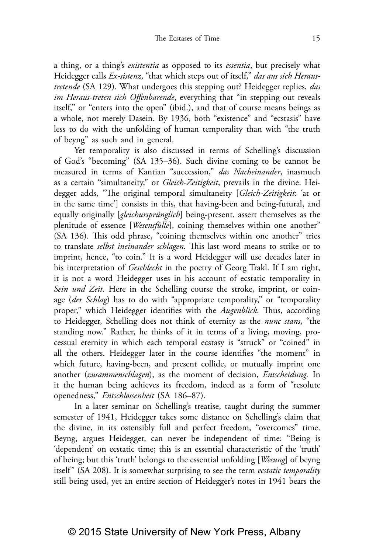a thing, or a thing's *existentia* as opposed to its *essentia*, but precisely what Heidegger calls *Ex-sistenz*, "that which steps out of itself," *das aus sich Heraustretende* (SA 129). What undergoes this stepping out? Heidegger replies, *das im Heraus-treten sich Offenbarende*, everything that "in stepping out reveals itself," or "enters into the open" (ibid.), and that of course means beings as a whole, not merely Dasein. By 1936, both "existence" and "ecstasis" have less to do with the unfolding of human temporality than with "the truth of beyng" as such and in general.

Yet temporality is also discussed in terms of Schelling's discussion of God's "becoming" (SA 135–36). Such divine coming to be cannot be measured in terms of Kantian "succession," *das Nacheinander*, inasmuch as a certain "simultaneity," or *Gleich-Zeitigkeit*, prevails in the divine. Heidegger adds, "The original temporal simultaneity [*Gleich-Zeitigkeit*: 'at or in the same time'] consists in this, that having-been and being-futural, and equally originally [*gleichursprünglich*] being-present, assert themselves as the plenitude of essence [*Wesensfülle*], coining themselves within one another" (SA 136). This odd phrase, "coining themselves within one another" tries to translate *selbst ineinander schlagen.* This last word means to strike or to imprint, hence, "to coin." It is a word Heidegger will use decades later in his interpretation of *Geschlecht* in the poetry of Georg Trakl. If I am right, it is not a word Heidegger uses in his account of ecstatic temporality in *Sein und Zeit.* Here in the Schelling course the stroke, imprint, or coinage (*der Schlag*) has to do with "appropriate temporality," or "temporality proper," which Heidegger identifies with the *Augenblick.* Thus, according to Heidegger, Schelling does not think of eternity as the *nunc stans*, "the standing now." Rather, he thinks of it in terms of a living, moving, processual eternity in which each temporal ecstasy is "struck" or "coined" in all the others. Heidegger later in the course identifies "the moment" in which future, having-been, and present collide, or mutually imprint one another (*zusammenschlagen*), as the moment of decision, *Entscheidung.* In it the human being achieves its freedom, indeed as a form of "resolute openedness," *Entschlossenheit* (SA 186–87).

In a later seminar on Schelling's treatise, taught during the summer semester of 1941, Heidegger takes some distance on Schelling's claim that the divine, in its ostensibly full and perfect freedom, "overcomes" time. Beyng, argues Heidegger, can never be independent of time: "Being is 'dependent' on ecstatic time; this is an essential characteristic of the 'truth' of being; but this 'truth' belongs to the essential unfolding [*Wesung*] of beyng itself" (SA 208). It is somewhat surprising to see the term *ecstatic temporality* still being used, yet an entire section of Heidegger's notes in 1941 bears the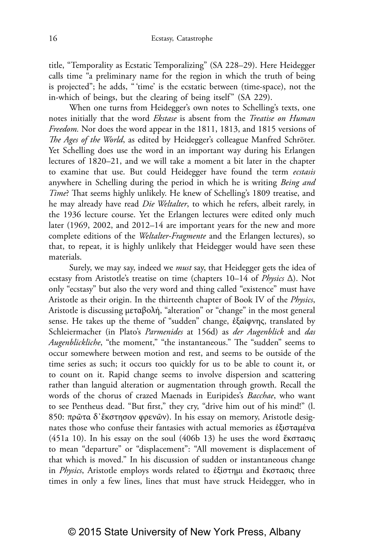title, "Temporality as Ecstatic Temporalizing" (SA 228–29). Here Heidegger calls time "a preliminary name for the region in which the truth of being is projected"; he adds, " 'time' is the ecstatic between (time-space), not the in-which of beings, but the clearing of being itself" (SA 229).

When one turns from Heidegger's own notes to Schelling's texts, one notes initially that the word *Ekstase* is absent from the *Treatise on Human Freedom.* Nor does the word appear in the 1811, 1813, and 1815 versions of *The Ages of the World*, as edited by Heidegger's colleague Manfred Schröter. Yet Schelling does use the word in an important way during his Erlangen lectures of 1820–21, and we will take a moment a bit later in the chapter to examine that use. But could Heidegger have found the term *ecstasis* anywhere in Schelling during the period in which he is writing *Being and Time*? That seems highly unlikely. He knew of Schelling's 1809 treatise, and he may already have read *Die Weltalter*, to which he refers, albeit rarely, in the 1936 lecture course. Yet the Erlangen lectures were edited only much later (1969, 2002, and 2012–14 are important years for the new and more complete editions of the *Weltalter-Fragmente* and the Erlangen lectures), so that, to repeat, it is highly unlikely that Heidegger would have seen these materials.

Surely, we may say, indeed we *must* say, that Heidegger gets the idea of ecstasy from Aristotle's treatise on time (chapters 10–14 of *Physics* Δ). Not only "ecstasy" but also the very word and thing called "existence" must have Aristotle as their origin. In the thirteenth chapter of Book IV of the *Physics*, Aristotle is discussing μεταβολή, "alteration" or "change" in the most general sense. He takes up the theme of "sudden" change, ἐξαίφνης, translated by Schleiermacher (in Plato's *Parmenides* at 156d) as *der Augenblick* and *das Augenblickliche*, "the moment," "the instantaneous." The "sudden" seems to occur somewhere between motion and rest, and seems to be outside of the time series as such; it occurs too quickly for us to be able to count it, or to count on it. Rapid change seems to involve dispersion and scattering rather than languid alteration or augmentation through growth. Recall the words of the chorus of crazed Maenads in Euripides's *Bacchae*, who want to see Pentheus dead. "But first," they cry, "drive him out of his mind!" (l. 850: πρῶτα δ᾽ἔκστησον φρενῶν). In his essay on memory, Aristotle designates those who confuse their fantasies with actual memories as ἐξισταμένα (451a 10). In his essay on the soul (406b 13) he uses the word ἔκστασις to mean "departure" or "displacement": "All movement is displacement of that which is moved." In his discussion of sudden or instantaneous change in *Physics*, Aristotle employs words related to ἐξίστημι and ἔκστασις three times in only a few lines, lines that must have struck Heidegger, who in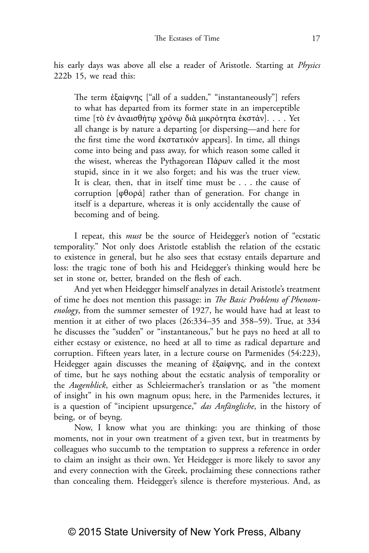his early days was above all else a reader of Aristotle. Starting at *Physics*  222b 15, we read this:

The term ἐξαίφνης ["all of a sudden," "instantaneously"] refers to what has departed from its former state in an imperceptible time [τὸ ἐν ἀναισθήτῳ χρόνῳ διὰ μικρότητα ἐκστάν]. . . . Yet all change is by nature a departing [or dispersing—and here for the first time the word ἐκστατικόν appears]. In time, all things come into being and pass away, for which reason some called it the wisest, whereas the Pythagorean Πάρων called it the most stupid, since in it we also forget; and his was the truer view. It is clear, then, that in itself time must be . . . the cause of corruption [φθορά] rather than of generation. For change in itself is a departure, whereas it is only accidentally the cause of becoming and of being.

I repeat, this *must* be the source of Heidegger's notion of "ecstatic temporality." Not only does Aristotle establish the relation of the ecstatic to existence in general, but he also sees that ecstasy entails departure and loss: the tragic tone of both his and Heidegger's thinking would here be set in stone or, better, branded on the flesh of each.

And yet when Heidegger himself analyzes in detail Aristotle's treatment of time he does not mention this passage: in *The Basic Problems of Phenomenology*, from the summer semester of 1927, he would have had at least to mention it at either of two places (26:334–35 and 358–59). True, at 334 he discusses the "sudden" or "instantaneous," but he pays no heed at all to either ecstasy or existence, no heed at all to time as radical departure and corruption. Fifteen years later, in a lecture course on Parmenides (54:223), Heidegger again discusses the meaning of ἐξαίφνης, and in the context of time, but he says nothing about the ecstatic analysis of temporality or the *Augenblick*, either as Schleiermacher's translation or as "the moment of insight" in his own magnum opus; here, in the Parmenides lectures, it is a question of "incipient upsurgence," *das Anfängliche*, in the history of being, or of beyng.

Now, I know what you are thinking: you are thinking of those moments, not in your own treatment of a given text, but in treatments by colleagues who succumb to the temptation to suppress a reference in order to claim an insight as their own. Yet Heidegger is more likely to savor any and every connection with the Greek, proclaiming these connections rather than concealing them. Heidegger's silence is therefore mysterious. And, as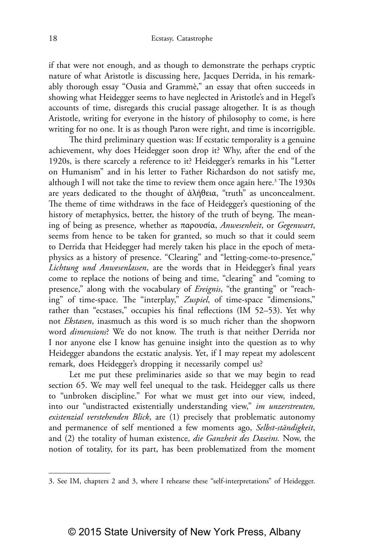if that were not enough, and as though to demonstrate the perhaps cryptic nature of what Aristotle is discussing here, Jacques Derrida, in his remarkably thorough essay "Ousia and Grammè," an essay that often succeeds in showing what Heidegger seems to have neglected in Aristotle's and in Hegel's accounts of time, disregards this crucial passage altogether. It is as though Aristotle, writing for everyone in the history of philosophy to come, is here writing for no one. It is as though Paron were right, and time is incorrigible.

The third preliminary question was: If ecstatic temporality is a genuine achievement, why does Heidegger soon drop it? Why, after the end of the 1920s, is there scarcely a reference to it? Heidegger's remarks in his "Letter on Humanism" and in his letter to Father Richardson do not satisfy me, although I will not take the time to review them once again here.<sup>3</sup> The 1930s are years dedicated to the thought of ἀλήθεια, "truth" as unconcealment. The theme of time withdraws in the face of Heidegger's questioning of the history of metaphysics, better, the history of the truth of beyng. The meaning of being as presence, whether as παρουσία, *Anwesenheit*, or *Gegenwart*, seems from hence to be taken for granted, so much so that it could seem to Derrida that Heidegger had merely taken his place in the epoch of metaphysics as a history of presence. "Clearing" and "letting-come-to-presence," *Lichtung und Anwesenlassen*, are the words that in Heidegger's final years come to replace the notions of being and time, "clearing" and "coming to presence," along with the vocabulary of *Ereignis*, "the granting" or "reaching" of time-space. The "interplay," *Zuspiel*, of time-space "dimensions," rather than "ecstases," occupies his final reflections (IM 52–53). Yet why not *Ekstasen*, inasmuch as this word is so much richer than the shopworn word *dimensions*? We do not know. The truth is that neither Derrida nor I nor anyone else I know has genuine insight into the question as to why Heidegger abandons the ecstatic analysis. Yet, if I may repeat my adolescent remark, does Heidegger's dropping it necessarily compel us?

Let me put these preliminaries aside so that we may begin to read section 65. We may well feel unequal to the task. Heidegger calls us there to "unbroken discipline." For what we must get into our view, indeed, into our "undistracted existentially understanding view," *im unzerstreuten, existenzial verstehenden Blick*, are (1) precisely that problematic autonomy and permanence of self mentioned a few moments ago, *Selbst-ständigkeit*, and (2) the totality of human existence, *die Ganzheit des Daseins.* Now, the notion of totality, for its part, has been problematized from the moment

<sup>3.</sup> See IM, chapters 2 and 3, where I rehearse these "self-interpretations" of Heidegger.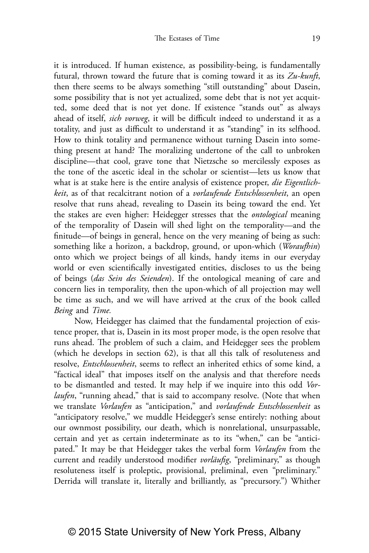it is introduced. If human existence, as possibility-being, is fundamentally futural, thrown toward the future that is coming toward it as its *Zu-kunft*, then there seems to be always something "still outstanding" about Dasein, some possibility that is not yet actualized, some debt that is not yet acquitted, some deed that is not yet done. If existence "stands out" as always ahead of itself, *sich vorweg*, it will be difficult indeed to understand it as a totality, and just as difficult to understand it as "standing" in its selfhood. How to think totality and permanence without turning Dasein into something present at hand? The moralizing undertone of the call to unbroken discipline—that cool, grave tone that Nietzsche so mercilessly exposes as the tone of the ascetic ideal in the scholar or scientist—lets us know that what is at stake here is the entire analysis of existence proper, *die Eigentlichkeit*, as of that recalcitrant notion of a *vorlaufende Entschlossenheit*, an open resolve that runs ahead, revealing to Dasein its being toward the end. Yet the stakes are even higher: Heidegger stresses that the *ontological* meaning of the temporality of Dasein will shed light on the temporality—and the finitude—of beings in general, hence on the very meaning of being as such: something like a horizon, a backdrop, ground, or upon-which (*Woraufhin*) onto which we project beings of all kinds, handy items in our everyday world or even scientifically investigated entities, discloses to us the being of beings (*das Sein des Seienden*). If the ontological meaning of care and concern lies in temporality, then the upon-which of all projection may well be time as such, and we will have arrived at the crux of the book called *Being* and *Time.*

Now, Heidegger has claimed that the fundamental projection of existence proper, that is, Dasein in its most proper mode, is the open resolve that runs ahead. The problem of such a claim, and Heidegger sees the problem (which he develops in section 62), is that all this talk of resoluteness and resolve, *Entschlossenheit*, seems to reflect an inherited ethics of some kind, a "factical ideal" that imposes itself on the analysis and that therefore needs to be dismantled and tested. It may help if we inquire into this odd *Vorlaufen*, "running ahead," that is said to accompany resolve. (Note that when we translate *Vorlaufen* as "anticipation," and *vorlaufende Entschlossenheit* as "anticipatory resolve," we muddle Heidegger's sense entirely: nothing about our ownmost possibility, our death, which is nonrelational, unsurpassable, certain and yet as certain indeterminate as to its "when," can be "anticipated." It may be that Heidegger takes the verbal form *Vorlaufen* from the current and readily understood modifier *vorläufig*, "preliminary," as though resoluteness itself is proleptic, provisional, preliminal, even "preliminary." Derrida will translate it, literally and brilliantly, as "precursory.") Whither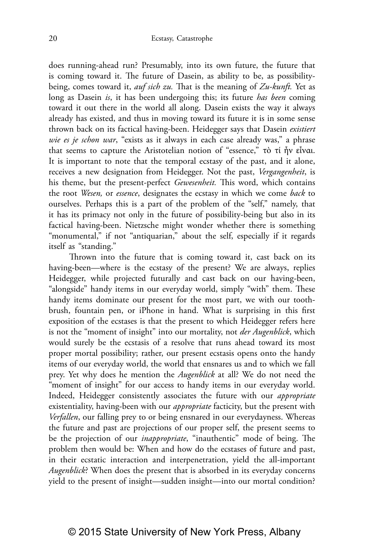does running-ahead run? Presumably, into its own future, the future that is coming toward it. The future of Dasein, as ability to be, as possibilitybeing, comes toward it, *auf sich zu.* That is the meaning of *Zu-kunft.* Yet as long as Dasein *is*, it has been undergoing this; its future *has been* coming toward it out there in the world all along. Dasein exists the way it always already has existed, and thus in moving toward its future it is in some sense thrown back on its factical having-been. Heidegger says that Dasein *existiert wie es je schon war*, "exists as it always in each case already was," a phrase that seems to capture the Aristotelian notion of "essence," τὸ τί ἦν εἶναι. It is important to note that the temporal ecstasy of the past, and it alone, receives a new designation from Heidegger. Not the past, *Vergangenheit*, is his theme, but the present-perfect *Gewesenheit.* This word, which contains the root *Wesen,* or *essence*, designates the ecstasy in which we come *back* to ourselves. Perhaps this is a part of the problem of the "self," namely, that it has its primacy not only in the future of possibility-being but also in its factical having-been. Nietzsche might wonder whether there is something "monumental," if not "antiquarian," about the self, especially if it regards itself as "standing."

Thrown into the future that is coming toward it, cast back on its having-been—where is the ecstasy of the present? We are always, replies Heidegger, while projected futurally and cast back on our having-been, "alongside" handy items in our everyday world, simply "with" them. These handy items dominate our present for the most part, we with our toothbrush, fountain pen, or iPhone in hand. What is surprising in this first exposition of the ecstases is that the present to which Heidegger refers here is not the "moment of insight" into our mortality, not *der Augenblick*, which would surely be the ecstasis of a resolve that runs ahead toward its most proper mortal possibility; rather, our present ecstasis opens onto the handy items of our everyday world, the world that ensnares us and to which we fall prey. Yet why does he mention the *Augenblick* at all? We do not need the "moment of insight" for our access to handy items in our everyday world. Indeed, Heidegger consistently associates the future with our *appropriate* existentiality, having-been with our *appropriate* facticity, but the present with *Verfallen*, our falling prey to or being ensnared in our everydayness. Whereas the future and past are projections of our proper self, the present seems to be the projection of our *inappropriate*, "inauthentic" mode of being. The problem then would be: When and how do the ecstases of future and past, in their ecstatic interaction and interpenetration, yield the all-important *Augenblick*? When does the present that is absorbed in its everyday concerns yield to the present of insight—sudden insight—into our mortal condition?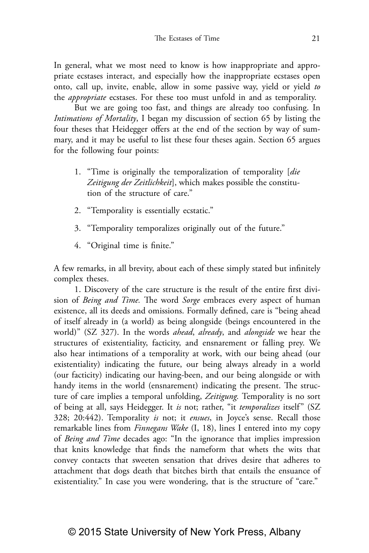In general, what we most need to know is how inappropriate and appropriate ecstases interact, and especially how the inappropriate ecstases open onto, call up, invite, enable, allow in some passive way, yield or yield *to* the *appropriate* ecstases. For these too must unfold in and as temporality.

But we are going too fast, and things are already too confusing. In *Intimations of Mortality*, I began my discussion of section 65 by listing the four theses that Heidegger offers at the end of the section by way of summary, and it may be useful to list these four theses again. Section 65 argues for the following four points:

- 1. "Time is originally the temporalization of temporality [*die Zeitigung der Zeitlichkeit*], which makes possible the constitution of the structure of care."
- 2. "Temporality is essentially ecstatic."
- 3. "Temporality temporalizes originally out of the future."
- 4. "Original time is finite."

A few remarks, in all brevity, about each of these simply stated but infinitely complex theses.

1. Discovery of the care structure is the result of the entire first division of *Being and Time.* The word *Sorge* embraces every aspect of human existence, all its deeds and omissions. Formally defined, care is "being ahead of itself already in (a world) as being alongside (beings encountered in the world)" (SZ 327). In the words *ahead*, *already*, and *alongside* we hear the structures of existentiality, facticity, and ensnarement or falling prey. We also hear intimations of a temporality at work, with our being ahead (our existentiality) indicating the future, our being always already in a world (our facticity) indicating our having-been, and our being alongside or with handy items in the world (ensnarement) indicating the present. The structure of care implies a temporal unfolding, *Zeitigung.* Temporality is no sort of being at all, says Heidegger. It *is* not; rather, "it *temporalizes* itself" (SZ 328; 20:442). Temporality *is* not; it *ensues*, in Joyce's sense. Recall those remarkable lines from *Finnegans Wake* (I, 18), lines I entered into my copy of *Being and Time* decades ago: "In the ignorance that implies impression that knits knowledge that finds the nameform that whets the wits that convey contacts that sweeten sensation that drives desire that adheres to attachment that dogs death that bitches birth that entails the ensuance of existentiality." In case you were wondering, that is the structure of "care."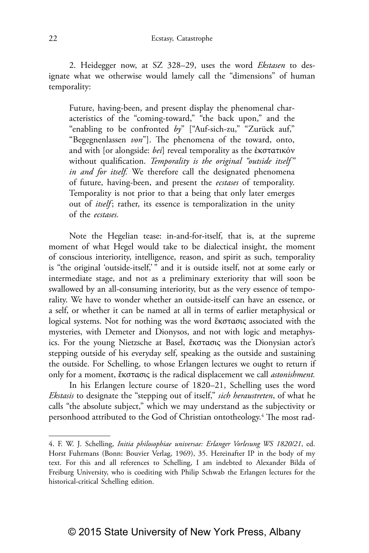2. Heidegger now, at SZ 328–29, uses the word *Ekstasen* to designate what we otherwise would lamely call the "dimensions" of human temporality:

Future, having-been, and present display the phenomenal characteristics of the "coming-toward," "the back upon," and the "enabling to be confronted *by*" ["Auf-sich-zu," "Zurück auf," "Begegnenlassen *von*"]. The phenomena of the toward, onto, and with [or alongside: *bei*] reveal temporality as the ἐκστατικόν without qualification. *Temporality is the original "outside itself" in and for itself.* We therefore call the designated phenomena of future, having-been, and present the *ecstases* of temporality. Temporality is not prior to that a being that only later emerges out of *itself*; rather, its essence is temporalization in the unity of the *ecstases.*

Note the Hegelian tease: in-and-for-itself, that is, at the supreme moment of what Hegel would take to be dialectical insight, the moment of conscious interiority, intelligence, reason, and spirit as such, temporality is "the original 'outside-itself,'" and it is outside itself, not at some early or intermediate stage, and not as a preliminary exteriority that will soon be swallowed by an all-consuming interiority, but as the very essence of temporality. We have to wonder whether an outside-itself can have an essence, or a self, or whether it can be named at all in terms of earlier metaphysical or logical systems. Not for nothing was the word ἔκστασις associated with the mysteries, with Demeter and Dionysos, and not with logic and metaphysics. For the young Nietzsche at Basel, ἔκστασις was the Dionysian actor's stepping outside of his everyday self, speaking as the outside and sustaining the outside. For Schelling, to whose Erlangen lectures we ought to return if only for a moment, ἔκστασις is the radical displacement we call *astonishment.*

In his Erlangen lecture course of 1820–21, Schelling uses the word *Ekstasis* to designate the "stepping out of itself," *sich heraustreten*, of what he calls "the absolute subject," which we may understand as the subjectivity or personhood attributed to the God of Christian ontotheology.4 The most rad-

<sup>4.</sup> F. W. J. Schelling, *Initia philosophiae universae: Erlanger Vorlesung WS 1820/21*, ed. Horst Fuhrmans (Bonn: Bouvier Verlag, 1969), 35. Hereinafter IP in the body of my text. For this and all references to Schelling, I am indebted to Alexander Bilda of Freiburg University, who is coediting with Philip Schwab the Erlangen lectures for the historical-critical Schelling edition.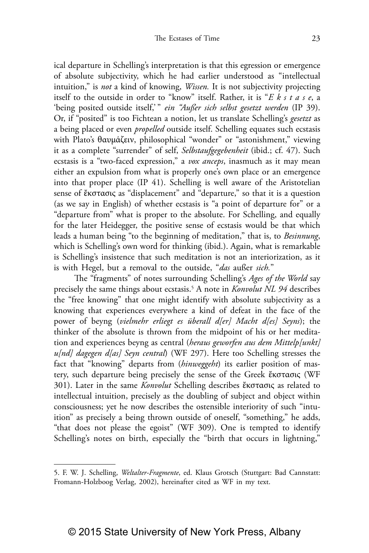ical departure in Schelling's interpretation is that this egression or emergence of absolute subjectivity, which he had earlier understood as "intellectual intuition," is *not* a kind of knowing, *Wissen.* It is not subjectivity projecting itself to the outside in order to "know" itself. Rather, it is "*E k s t a s e*, a 'being posited outside itself," ein "Außer sich selbst gesetzt werden (IP 39). Or, if "posited" is too Fichtean a notion, let us translate Schelling's *gesetzt* as a being placed or even *propelled* outside itself. Schelling equates such ecstasis with Plato's θαυμάζειν, philosophical "wonder" or "astonishment," viewing it as a complete "surrender" of self, *Selbstaufgegebenheit* (ibid.; cf. 47). Such ecstasis is a "two-faced expression," a *vox anceps*, inasmuch as it may mean either an expulsion from what is properly one's own place or an emergence into that proper place (IP 41). Schelling is well aware of the Aristotelian sense of ἔκστασις as "displacement" and "departure," so that it is a question (as we say in English) of whether ecstasis is "a point of departure for" or a "departure from" what is proper to the absolute. For Schelling, and equally for the later Heidegger, the positive sense of ecstasis would be that which leads a human being "to the beginning of meditation," that is, to *Besinnung*, which is Schelling's own word for thinking (ibid.). Again, what is remarkable is Schelling's insistence that such meditation is not an interiorization, as it is with Hegel, but a removal to the outside, "*das* außer *sich.*"

The "fragments" of notes surrounding Schelling's *Ages of the World* say precisely the same things about ecstasis.5 A note in *Konvolut NL 94* describes the "free knowing" that one might identify with absolute subjectivity as a knowing that experiences everywhere a kind of defeat in the face of the power of beyng (*vielmehr erliegt es überall d[er] Macht d[es] Seyns*); the thinker of the absolute is thrown from the midpoint of his or her meditation and experiences beyng as central (*heraus geworfen aus dem Mittelp[unkt] u[nd] dagegen d[as] Seyn central*) (WF 297). Here too Schelling stresses the fact that "knowing" departs from (*hinweggeht*) its earlier position of mastery, such departure being precisely the sense of the Greek ἔκστασις (WF 301). Later in the same *Konvolut* Schelling describes ἔκστασις as related to intellectual intuition, precisely as the doubling of subject and object within consciousness; yet he now describes the ostensible interiority of such "intuition" as precisely a being thrown outside of oneself, "something," he adds, "that does not please the egoist" (WF 309). One is tempted to identify Schelling's notes on birth, especially the "birth that occurs in lightning,"

<sup>5.</sup> F. W. J. Schelling, *Weltalter-Fragmente*, ed. Klaus Grotsch (Stuttgart: Bad Cannstatt: Fromann-Holzboog Verlag, 2002), hereinafter cited as WF in my text.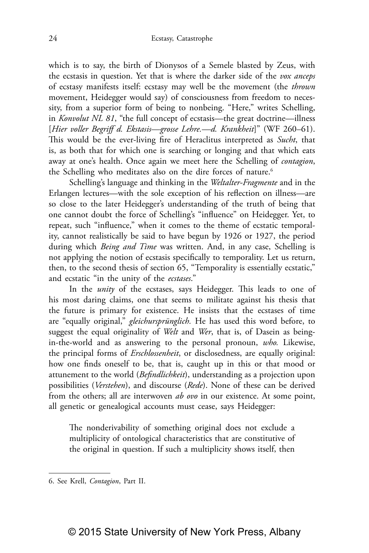which is to say, the birth of Dionysos of a Semele blasted by Zeus, with the ecstasis in question. Yet that is where the darker side of the *vox anceps*  of ecstasy manifests itself: ecstasy may well be the movement (the *thrown*  movement, Heidegger would say) of consciousness from freedom to necessity, from a superior form of being to nonbeing. "Here," writes Schelling, in *Konvolut NL 81*, "the full concept of ecstasis—the great doctrine—illness [*Hier voller Begriff d. Ekstasis—grosse Lehre.—d. Krankheit*]" (WF 260–61). This would be the ever-living fire of Heraclitus interpreted as *Sucht*, that is, as both that for which one is searching or longing and that which eats away at one's health. Once again we meet here the Schelling of *contagion*, the Schelling who meditates also on the dire forces of nature.<sup>6</sup>

Schelling's language and thinking in the *Weltalter-Fragmente* and in the Erlangen lectures—with the sole exception of his reflection on illness—are so close to the later Heidegger's understanding of the truth of being that one cannot doubt the force of Schelling's "influence" on Heidegger. Yet, to repeat, such "influence," when it comes to the theme of ecstatic temporality, cannot realistically be said to have begun by 1926 or 1927, the period during which *Being and Time* was written. And, in any case, Schelling is not applying the notion of ecstasis specifically to temporality. Let us return, then, to the second thesis of section 65, "Temporality is essentially ecstatic," and ecstatic "in the unity of the *ecstases*."

In the *unity* of the ecstases, says Heidegger. This leads to one of his most daring claims, one that seems to militate against his thesis that the future is primary for existence. He insists that the ecstases of time are "equally original," *gleichursprünglich.* He has used this word before, to suggest the equal originality of *Welt* and *Wer*, that is, of Dasein as beingin-the-world and as answering to the personal pronoun, *who.* Likewise, the principal forms of *Erschlossenheit*, or disclosedness, are equally original: how one finds oneself to be, that is, caught up in this or that mood or attunement to the world (*Befindlichkeit*), understanding as a projection upon possibilities (*Verstehen*), and discourse (*Rede*). None of these can be derived from the others; all are interwoven *ab ovo* in our existence. At some point, all genetic or genealogical accounts must cease, says Heidegger:

The nonderivability of something original does not exclude a multiplicity of ontological characteristics that are constitutive of the original in question. If such a multiplicity shows itself, then

<sup>6.</sup> See Krell, *Contagion*, Part II.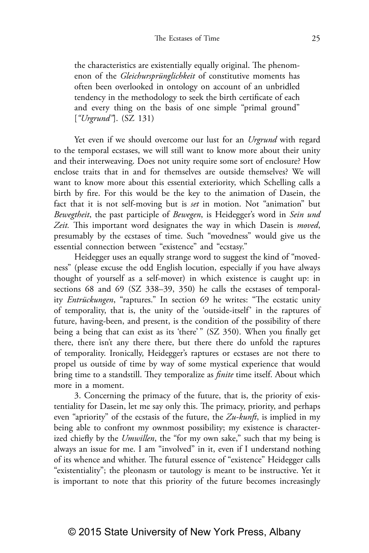the characteristics are existentially equally original. The phenomenon of the *Gleichursprünglichkeit* of constitutive moments has often been overlooked in ontology on account of an unbridled tendency in the methodology to seek the birth certificate of each and every thing on the basis of one simple "primal ground" [*"Urgrund"*]. (SZ 131)

Yet even if we should overcome our lust for an *Urgrund* with regard to the temporal ecstases, we will still want to know more about their unity and their interweaving. Does not unity require some sort of enclosure? How enclose traits that in and for themselves are outside themselves? We will want to know more about this essential exteriority, which Schelling calls a birth by fire. For this would be the key to the animation of Dasein, the fact that it is not self-moving but is *set* in motion. Not "animation" but *Bewegtheit*, the past participle of *Bewegen*, is Heidegger's word in *Sein und Zeit.* This important word designates the way in which Dasein is *moved*, presumably by the ecstases of time. Such "movedness" would give us the essential connection between "existence" and "ecstasy."

Heidegger uses an equally strange word to suggest the kind of "movedness" (please excuse the odd English locution, especially if you have always thought of yourself as a self-mover) in which existence is caught up: in sections 68 and 69 (SZ 338–39, 350) he calls the ecstases of temporality *Entrückungen*, "raptures." In section 69 he writes: "The ecstatic unity of temporality, that is, the unity of the 'outside-itself' in the raptures of future, having-been, and present, is the condition of the possibility of there being a being that can exist as its 'there'" (SZ 350). When you finally get there, there isn't any there there, but there there do unfold the raptures of temporality. Ironically, Heidegger's raptures or ecstases are not there to propel us outside of time by way of some mystical experience that would bring time to a standstill. They temporalize as *finite* time itself. About which more in a moment.

3. Concerning the primacy of the future, that is, the priority of existentiality for Dasein, let me say only this. The primacy, priority, and perhaps even "apriority" of the ecstasis of the future, the *Zu-kunft*, is implied in my being able to confront my ownmost possibility; my existence is characterized chiefly by the *Umwillen*, the "for my own sake," such that my being is always an issue for me. I am "involved" in it, even if I understand nothing of its whence and whither. The futural essence of "existence" Heidegger calls "existentiality"; the pleonasm or tautology is meant to be instructive. Yet it is important to note that this priority of the future becomes increasingly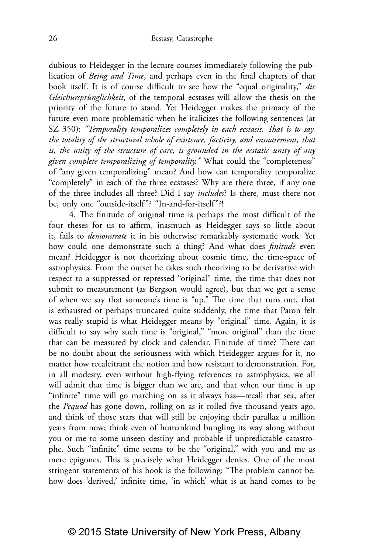dubious to Heidegger in the lecture courses immediately following the publication of *Being and Time*, and perhaps even in the final chapters of that book itself. It is of course difficult to see how the "equal originality," *die Gleichursprünglichkeit*, of the temporal ecstases will allow the thesis on the priority of the future to stand. Yet Heidegger makes the primacy of the future even more problematic when he italicizes the following sentences (at SZ 350): *"Temporality temporalizes completely in each ecstasis. That is to say, the totality of the structural whole of existence, facticity, and ensnarement, that is, the unity of the structure of care, is grounded in the ecstatic unity of any given complete temporalizing of temporality."* What could the "completeness" of "any given temporalizing" mean? And how can temporality temporalize "completely" in each of the three ecstases? Why are there three, if any one of the three includes all three? Did I say *includes*? Is there, must there not be, only one "outside-itself"? "In-and-for-itself"?!

4. The finitude of original time is perhaps the most difficult of the four theses for us to affirm, inasmuch as Heidegger says so little about it, fails to *demonstrate* it in his otherwise remarkably systematic work. Yet how could one demonstrate such a thing? And what does *finitude* even mean? Heidegger is not theorizing about cosmic time, the time-space of astrophysics. From the outset he takes such theorizing to be derivative with respect to a suppressed or repressed "original" time, the time that does not submit to measurement (as Bergson would agree), but that we get a sense of when we say that someone's time is "up." The time that runs out, that is exhausted or perhaps truncated quite suddenly, the time that Paron felt was really stupid is what Heidegger means by "original" time. Again, it is difficult to say why such time is "original," "more original" than the time that can be measured by clock and calendar. Finitude of time? There can be no doubt about the seriousness with which Heidegger argues for it, no matter how recalcitrant the notion and how resistant to demonstration. For, in all modesty, even without high-flying references to astrophysics, we all will admit that time is bigger than we are, and that when our time is up "infinite" time will go marching on as it always has—recall that sea, after the *Pequod* has gone down, rolling on as it rolled five thousand years ago, and think of those stars that will still be enjoying their parallax a million years from now; think even of humankind bungling its way along without you or me to some unseen destiny and probable if unpredictable catastrophe. Such "infinite" time seems to be the "original," with you and me as mere epigones. This is precisely what Heidegger denies. One of the most stringent statements of his book is the following: "The problem cannot be: how does 'derived,' infinite time, 'in which' what is at hand comes to be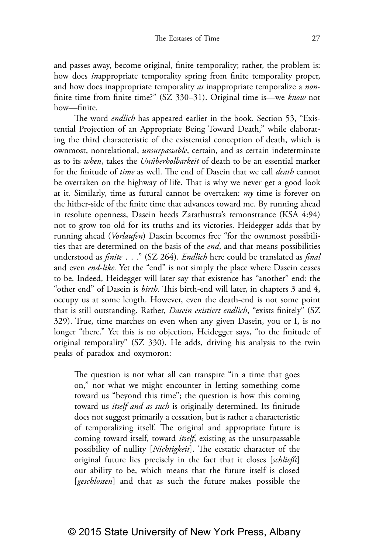and passes away, become original, finite temporality; rather, the problem is: how does *in*appropriate temporality spring from finite temporality proper, and how does inappropriate temporality *as* inappropriate temporalize a *non*finite time from finite time?" (SZ 330–31). Original time is—we *know* not how—finite.

The word *endlich* has appeared earlier in the book. Section 53, "Existential Projection of an Appropriate Being Toward Death," while elaborating the third characteristic of the existential conception of death, which is ownmost, nonrelational, *unsurpassable*, certain, and as certain indeterminate as to its *when*, takes the *Unüberholbarkeit* of death to be an essential marker for the finitude of *time* as well. The end of Dasein that we call *death* cannot be overtaken on the highway of life. That is why we never get a good look at it. Similarly, time as futural cannot be overtaken: *my* time is forever on the hither-side of the finite time that advances toward me. By running ahead in resolute openness, Dasein heeds Zarathustra's remonstrance (KSA 4:94) not to grow too old for its truths and its victories. Heidegger adds that by running ahead (*Vorlaufen*) Dasein becomes free "for the ownmost possibilities that are determined on the basis of the *end*, and that means possibilities understood as *finite* . . ." (SZ 264). *Endlich* here could be translated as *final*  and even *end-like.* Yet the "end" is not simply the place where Dasein ceases to be. Indeed, Heidegger will later say that existence has "another" end: the "other end" of Dasein is *birth.* This birth-end will later, in chapters 3 and 4, occupy us at some length. However, even the death-end is not some point that is still outstanding. Rather, *Dasein existiert endlich*, "exists finitely" (SZ 329). True, time marches on even when any given Dasein, you or I, is no longer "there." Yet this is no objection, Heidegger says, "to the finitude of original temporality" (SZ 330). He adds, driving his analysis to the twin peaks of paradox and oxymoron:

The question is not what all can transpire "in a time that goes on," nor what we might encounter in letting something come toward us "beyond this time"; the question is how this coming toward us *itself and as such* is originally determined. Its finitude does not suggest primarily a cessation, but is rather a characteristic of temporalizing itself. The original and appropriate future is coming toward itself, toward *itself*, existing as the unsurpassable possibility of nullity [*Nichtigkeit*]. The ecstatic character of the original future lies precisely in the fact that it closes [*schließt*] our ability to be, which means that the future itself is closed [*geschlossen*] and that as such the future makes possible the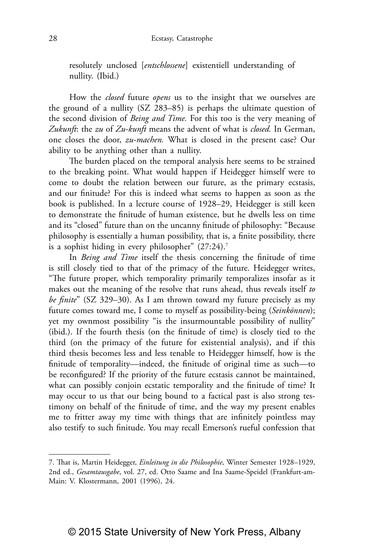resolutely unclosed [*entschlossene*] existentiell understanding of nullity. (Ibid.)

How the *closed* future *opens* us to the insight that we ourselves are the ground of a nullity (SZ 283–85) is perhaps the ultimate question of the second division of *Being and Time.* For this too is the very meaning of *Zukunft*: the *zu* of *Zu-kunft* means the advent of what is *closed.* In German, one closes the door, *zu-machen.* What is closed in the present case? Our ability to be anything other than a nullity.

The burden placed on the temporal analysis here seems to be strained to the breaking point. What would happen if Heidegger himself were to come to doubt the relation between our future, as the primary ecstasis, and our finitude? For this is indeed what seems to happen as soon as the book is published. In a lecture course of 1928–29, Heidegger is still keen to demonstrate the finitude of human existence, but he dwells less on time and its "closed" future than on the uncanny finitude of philosophy: "Because philosophy is essentially a human possibility, that is, a finite possibility, there is a sophist hiding in every philosopher" (27:24).<sup>7</sup>

In *Being and Time* itself the thesis concerning the finitude of time is still closely tied to that of the primacy of the future. Heidegger writes, "The future proper, which temporality primarily temporalizes insofar as it makes out the meaning of the resolve that runs ahead, thus reveals itself *to be finite*" (SZ 329–30). As I am thrown toward my future precisely as my future comes toward me, I come to myself as possibility-being (*Seinkönnen*); yet my ownmost possibility "is the insurmountable possibility of nullity" (ibid.). If the fourth thesis (on the finitude of time) is closely tied to the third (on the primacy of the future for existential analysis), and if this third thesis becomes less and less tenable to Heidegger himself, how is the finitude of temporality—indeed, the finitude of original time as such—to be reconfigured? If the priority of the future ecstasis cannot be maintained, what can possibly conjoin ecstatic temporality and the finitude of time? It may occur to us that our being bound to a factical past is also strong testimony on behalf of the finitude of time, and the way my present enables me to fritter away my time with things that are infinitely pointless may also testify to such finitude. You may recall Emerson's rueful confession that

<sup>7.</sup> That is, Martin Heidegger, *Einleitung in die Philosophie*, Winter Semester 1928–1929, 2nd ed., *Gesamtausgabe*, vol. 27, ed. Otto Saame and Ina Saame-Speidel (Frankfurt-am-Main: V. Klostermann, 2001 (1996), 24.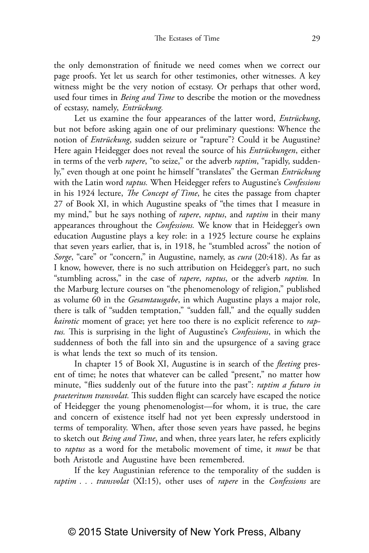the only demonstration of finitude we need comes when we correct our page proofs. Yet let us search for other testimonies, other witnesses. A key witness might be the very notion of ecstasy. Or perhaps that other word, used four times in *Being and Time* to describe the motion or the movedness of ecstasy, namely, *Entrückung.*

Let us examine the four appearances of the latter word, *Entrückung*, but not before asking again one of our preliminary questions: Whence the notion of *Entrückung*, sudden seizure or "rapture"? Could it be Augustine? Here again Heidegger does not reveal the source of his *Entrückungen*, either in terms of the verb *rapere*, "to seize," or the adverb *raptim*, "rapidly, suddenly," even though at one point he himself "translates" the German *Entrückung* with the Latin word *raptus.* When Heidegger refers to Augustine's *Confessions* in his 1924 lecture, *The Concept of Time*, he cites the passage from chapter 27 of Book XI, in which Augustine speaks of "the times that I measure in my mind," but he says nothing of *rapere*, *raptus*, and *raptim* in their many appearances throughout the *Confessions.* We know that in Heidegger's own education Augustine plays a key role: in a 1925 lecture course he explains that seven years earlier, that is, in 1918, he "stumbled across" the notion of *Sorge*, "care" or "concern," in Augustine, namely, as *cura* (20:418). As far as I know, however, there is no such attribution on Heidegger's part, no such "stumbling across," in the case of *rapere*, *raptus*, or the adverb *raptim.* In the Marburg lecture courses on "the phenomenology of religion," published as volume 60 in the *Gesamtausgabe*, in which Augustine plays a major role, there is talk of "sudden temptation," "sudden fall," and the equally sudden *kairotic* moment of grace; yet here too there is no explicit reference to *raptus.* This is surprising in the light of Augustine's *Confessions*, in which the suddenness of both the fall into sin and the upsurgence of a saving grace is what lends the text so much of its tension.

In chapter 15 of Book XI, Augustine is in search of the *fleeting* present of time; he notes that whatever can be called "present," no matter how minute, "flies suddenly out of the future into the past": *raptim a futuro in praeteritum transvolat.* This sudden flight can scarcely have escaped the notice of Heidegger the young phenomenologist—for whom, it is true, the care and concern of existence itself had not yet been expressly understood in terms of temporality. When, after those seven years have passed, he begins to sketch out *Being and Time*, and when, three years later, he refers explicitly to *raptus* as a word for the metabolic movement of time, it *must* be that both Aristotle and Augustine have been remembered.

If the key Augustinian reference to the temporality of the sudden is *raptim . . . transvolat* (XI:15), other uses of *rapere* in the *Confessions* are